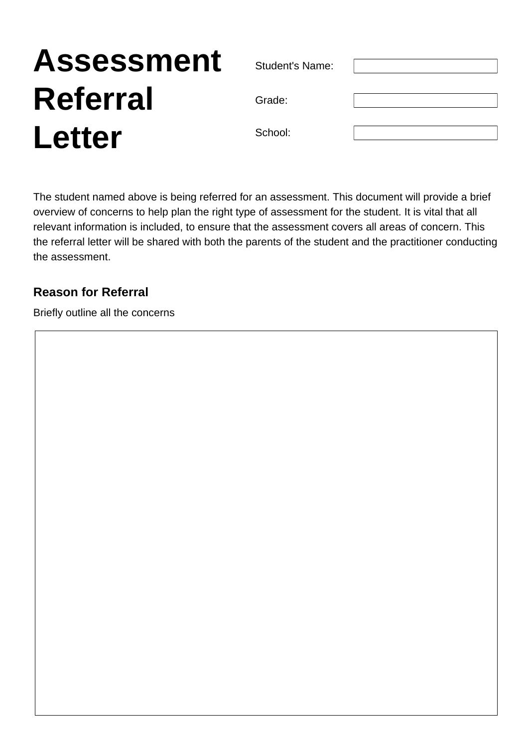# **Assessment Referral Letter**

Student's Name:

Grade:

School:

The student named above is being referred for an assessment. This document will provide a brief overview of concerns to help plan the right type of assessment for the student. It is vital that all relevant information is included, to ensure that the assessment covers all areas of concern. This the referral letter will be shared with both the parents of the student and the practitioner conducting the assessment.

## **Reason for Referral**

Briefly outline all the concerns